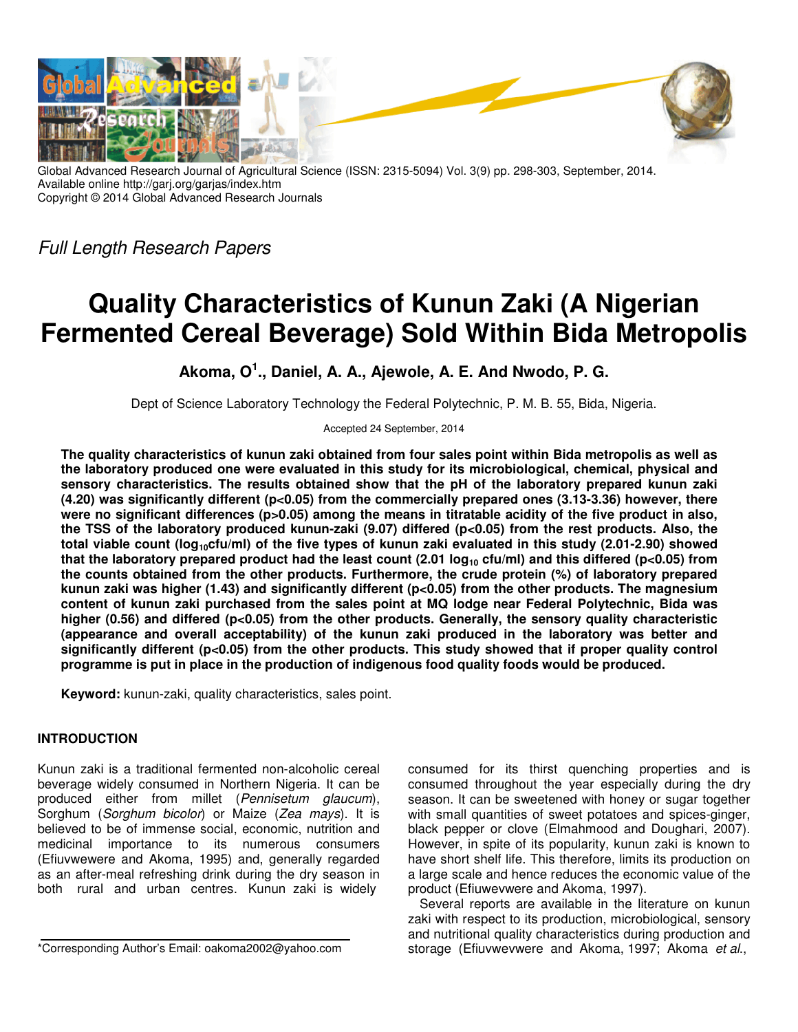

Global Advanced Research Journal of Agricultural Science (ISSN: 2315-5094) Vol. 3(9) pp. 298-303, September, 2014. Available online http://garj.org/garjas/index.htm Copyright © 2014 Global Advanced Research Journals

Full Length Research Papers

# **Quality Characteristics of Kunun Zaki (A Nigerian Fermented Cereal Beverage) Sold Within Bida Metropolis**

**Akoma, O<sup>1</sup> ., Daniel, A. A., Ajewole, A. E. And Nwodo, P. G.** 

Dept of Science Laboratory Technology the Federal Polytechnic, P. M. B. 55, Bida, Nigeria.

Accepted 24 September, 2014

**The quality characteristics of kunun zaki obtained from four sales point within Bida metropolis as well as the laboratory produced one were evaluated in this study for its microbiological, chemical, physical and sensory characteristics. The results obtained show that the pH of the laboratory prepared kunun zaki (4.20) was significantly different (p<0.05) from the commercially prepared ones (3.13-3.36) however, there**  were no significant differences (p>0.05) among the means in titratable acidity of the five product in also, **the TSS of the laboratory produced kunun-zaki (9.07) differed (p<0.05) from the rest products. Also, the total viable count (log10cfu/ml) of the five types of kunun zaki evaluated in this study (2.01-2.90) showed that the laboratory prepared product had the least count (2.01 log10 cfu/ml) and this differed (p<0.05) from the counts obtained from the other products. Furthermore, the crude protein (%) of laboratory prepared kunun zaki was higher (1.43) and significantly different (p<0.05) from the other products. The magnesium content of kunun zaki purchased from the sales point at MQ lodge near Federal Polytechnic, Bida was higher (0.56) and differed (p<0.05) from the other products. Generally, the sensory quality characteristic (appearance and overall acceptability) of the kunun zaki produced in the laboratory was better and significantly different (p<0.05) from the other products. This study showed that if proper quality control programme is put in place in the production of indigenous food quality foods would be produced.** 

**Keyword:** kunun-zaki, quality characteristics, sales point.

# **INTRODUCTION**

Kunun zaki is a traditional fermented non-alcoholic cereal beverage widely consumed in Northern Nigeria. It can be produced either from millet (Pennisetum glaucum), Sorghum (Sorghum bicolor) or Maize (Zea mays). It is believed to be of immense social, economic, nutrition and medicinal importance to its numerous consumers (Efiuvwewere and Akoma, 1995) and, generally regarded as an after-meal refreshing drink during the dry season in both rural and urban centres. Kunun zaki is widely

consumed for its thirst quenching properties and is consumed throughout the year especially during the dry season. It can be sweetened with honey or sugar together with small quantities of sweet potatoes and spices-ginger, black pepper or clove (Elmahmood and Doughari, 2007). However, in spite of its popularity, kunun zaki is known to have short shelf life. This therefore, limits its production on a large scale and hence reduces the economic value of the product (Efiuwevwere and Akoma, 1997).

Several reports are available in the literature on kunun zaki with respect to its production, microbiological, sensory and nutritional quality characteristics during production and storage (Efiuvwevwere and Akoma, 1997; Akoma et al.,

<sup>\*</sup>Corresponding Author's Email: oakoma2002@yahoo.com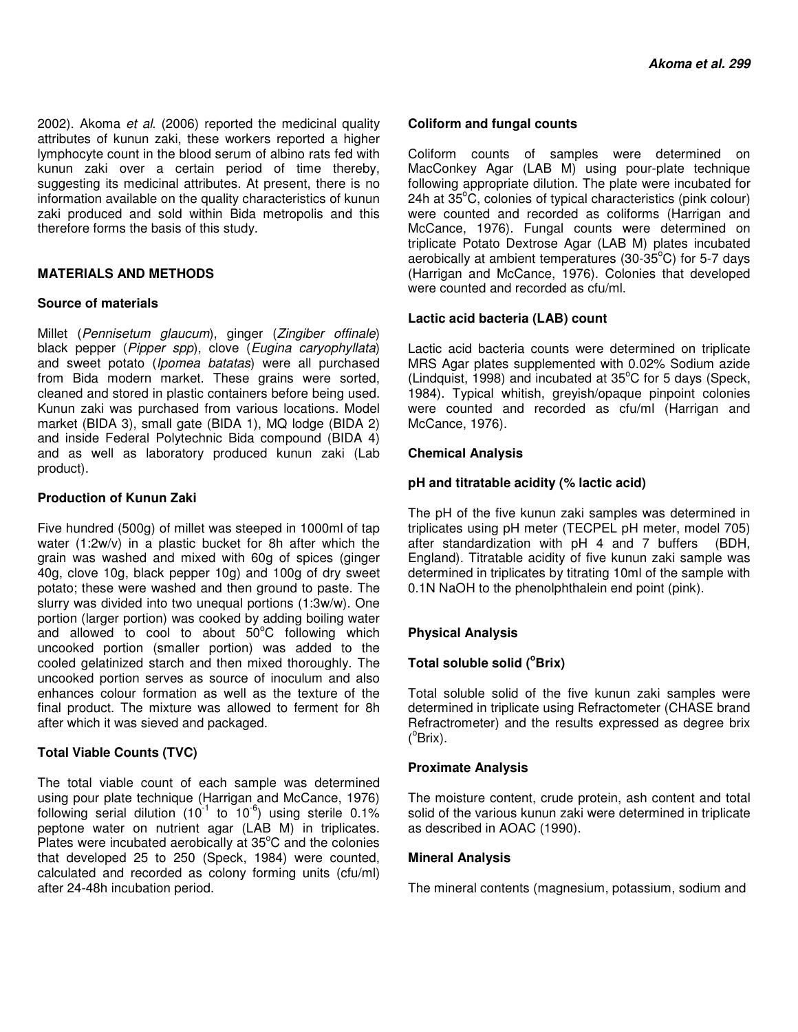2002). Akoma et al. (2006) reported the medicinal quality attributes of kunun zaki, these workers reported a higher lymphocyte count in the blood serum of albino rats fed with kunun zaki over a certain period of time thereby, suggesting its medicinal attributes. At present, there is no information available on the quality characteristics of kunun zaki produced and sold within Bida metropolis and this therefore forms the basis of this study.

## **MATERIALS AND METHODS**

#### **Source of materials**

Millet (Pennisetum glaucum), ginger (Zingiber offinale) black pepper (Pipper spp), clove (Eugina caryophyllata) and sweet potato (Ipomea batatas) were all purchased from Bida modern market. These grains were sorted, cleaned and stored in plastic containers before being used. Kunun zaki was purchased from various locations. Model market (BIDA 3), small gate (BIDA 1), MQ lodge (BIDA 2) and inside Federal Polytechnic Bida compound (BIDA 4) and as well as laboratory produced kunun zaki (Lab product).

## **Production of Kunun Zaki**

Five hundred (500g) of millet was steeped in 1000ml of tap water (1:2w/v) in a plastic bucket for 8h after which the grain was washed and mixed with 60g of spices (ginger 40g, clove 10g, black pepper 10g) and 100g of dry sweet potato; these were washed and then ground to paste. The slurry was divided into two unequal portions (1:3w/w). One portion (larger portion) was cooked by adding boiling water and allowed to cool to about  $50^{\circ}$ C following which uncooked portion (smaller portion) was added to the cooled gelatinized starch and then mixed thoroughly. The uncooked portion serves as source of inoculum and also enhances colour formation as well as the texture of the final product. The mixture was allowed to ferment for 8h after which it was sieved and packaged.

## **Total Viable Counts (TVC)**

The total viable count of each sample was determined using pour plate technique (Harrigan and McCance, 1976) following serial dilution (10<sup>-1</sup> to 10<sup>-6</sup>) using sterile 0.1% peptone water on nutrient agar (LAB M) in triplicates. Plates were incubated aerobically at  $35^{\circ}$ C and the colonies that developed 25 to 250 (Speck, 1984) were counted, calculated and recorded as colony forming units (cfu/ml) after 24-48h incubation period.

#### **Coliform and fungal counts**

Coliform counts of samples were determined on MacConkey Agar (LAB M) using pour-plate technique following appropriate dilution. The plate were incubated for 24h at  $35^{\circ}$ C, colonies of typical characteristics (pink colour) were counted and recorded as coliforms (Harrigan and McCance, 1976). Fungal counts were determined on triplicate Potato Dextrose Agar (LAB M) plates incubated aerobically at ambient temperatures (30-35 $^{\circ}$ C) for 5-7 days (Harrigan and McCance, 1976). Colonies that developed were counted and recorded as cfu/ml.

## **Lactic acid bacteria (LAB) count**

Lactic acid bacteria counts were determined on triplicate MRS Agar plates supplemented with 0.02% Sodium azide (Lindquist, 1998) and incubated at  $35^{\circ}$ C for 5 days (Speck, 1984). Typical whitish, greyish/opaque pinpoint colonies were counted and recorded as cfu/ml (Harrigan and McCance, 1976).

## **Chemical Analysis**

#### **pH and titratable acidity (% lactic acid)**

The pH of the five kunun zaki samples was determined in triplicates using pH meter (TECPEL pH meter, model 705) after standardization with pH 4 and 7 buffers (BDH, England). Titratable acidity of five kunun zaki sample was determined in triplicates by titrating 10ml of the sample with 0.1N NaOH to the phenolphthalein end point (pink).

## **Physical Analysis**

## **Total soluble solid (<sup>o</sup>Brix)**

Total soluble solid of the five kunun zaki samples were determined in triplicate using Refractometer (CHASE brand Refractrometer) and the results expressed as degree brix  $(^{\circ}B$ rix).

## **Proximate Analysis**

The moisture content, crude protein, ash content and total solid of the various kunun zaki were determined in triplicate as described in AOAC (1990).

## **Mineral Analysis**

The mineral contents (magnesium, potassium, sodium and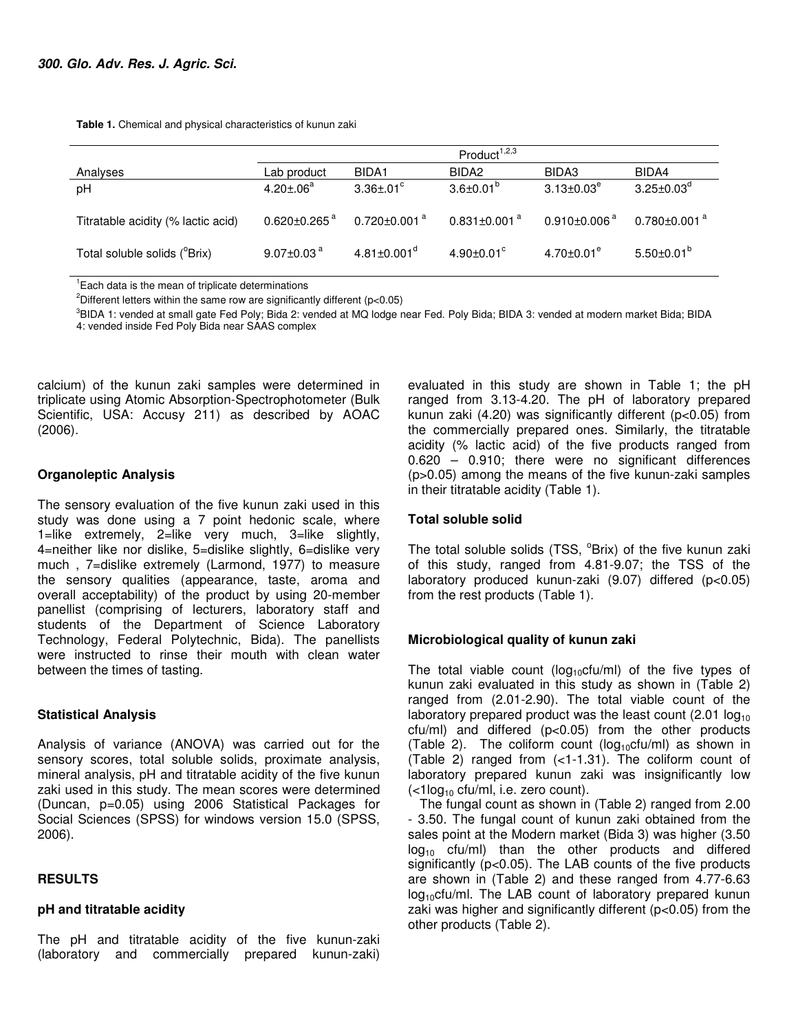**Table 1.** Chemical and physical characteristics of kunun zaki

|                                           | Product <sup>1,2,3</sup>       |                                |                                |                              |                                |
|-------------------------------------------|--------------------------------|--------------------------------|--------------------------------|------------------------------|--------------------------------|
| Analyses                                  | Lab product                    | BIDA1                          | BIDA <sub>2</sub>              | BIDA3                        | BIDA4                          |
| pH                                        | $4.20 \pm 0.06$ <sup>a</sup>   | $3.36 \pm .01^{\circ}$         | $3.6 \pm 0.01^{\circ}$         | $3.13 \pm 0.03^e$            | $3.25 \pm 0.03^{\circ}$        |
| Titratable acidity (% lactic acid)        | $0.620 \pm 0.265$ <sup>a</sup> | $0.720 \pm 0.001$ <sup>a</sup> | $0.831 \pm 0.001$ <sup>a</sup> | $0.910\pm0.006$ <sup>a</sup> | $0.780 \pm 0.001$ <sup>a</sup> |
| Total soluble solids ( <sup>o</sup> Brix) | 9.07 $\pm$ 0.03 $^{\circ}$     | $4.81 \pm 0.001$ <sup>d</sup>  | $4.90 \pm 0.01$ <sup>c</sup>   | $4.70 \pm 0.01^e$            | $5.50 \pm 0.01^{\circ}$        |

<sup>1</sup>Each data is the mean of triplicate determinations

<sup>2</sup>Different letters within the same row are significantly different ( $p$ <0.05)

<sup>3</sup>BIDA 1: vended at small gate Fed Poly; Bida 2: vended at MQ lodge near Fed. Poly Bida; BIDA 3: vended at modern market Bida; BIDA 4: vended inside Fed Poly Bida near SAAS complex

calcium) of the kunun zaki samples were determined in triplicate using Atomic Absorption-Spectrophotometer (Bulk Scientific, USA: Accusy 211) as described by AOAC (2006).

## **Organoleptic Analysis**

The sensory evaluation of the five kunun zaki used in this study was done using a 7 point hedonic scale, where 1=like extremely, 2=like very much, 3=like slightly, 4=neither like nor dislike, 5=dislike slightly, 6=dislike very much , 7=dislike extremely (Larmond, 1977) to measure the sensory qualities (appearance, taste, aroma and overall acceptability) of the product by using 20-member panellist (comprising of lecturers, laboratory staff and students of the Department of Science Laboratory Technology, Federal Polytechnic, Bida). The panellists were instructed to rinse their mouth with clean water between the times of tasting.

## **Statistical Analysis**

Analysis of variance (ANOVA) was carried out for the sensory scores, total soluble solids, proximate analysis, mineral analysis, pH and titratable acidity of the five kunun zaki used in this study. The mean scores were determined (Duncan, p=0.05) using 2006 Statistical Packages for Social Sciences (SPSS) for windows version 15.0 (SPSS, 2006).

## **RESULTS**

#### **pH and titratable acidity**

The pH and titratable acidity of the five kunun-zaki (laboratory and commercially prepared kunun-zaki)

evaluated in this study are shown in Table 1; the pH ranged from 3.13-4.20. The pH of laboratory prepared kunun zaki (4.20) was significantly different (p<0.05) from the commercially prepared ones. Similarly, the titratable acidity (% lactic acid) of the five products ranged from 0.620 – 0.910; there were no significant differences (p>0.05) among the means of the five kunun-zaki samples in their titratable acidity (Table 1).

#### **Total soluble solid**

The total soluble solids (TSS, <sup>o</sup>Brix) of the five kunun zaki of this study, ranged from 4.81-9.07; the TSS of the laboratory produced kunun-zaki (9.07) differed (p<0.05) from the rest products (Table 1).

## **Microbiological quality of kunun zaki**

The total viable count ( $log_{10}$ cfu/ml) of the five types of kunun zaki evaluated in this study as shown in (Table 2) ranged from (2.01-2.90). The total viable count of the laboratory prepared product was the least count  $(2.01 \log_{10}$ cfu/ml) and differed (p<0.05) from the other products (Table 2). The coliform count ( $log_{10}$ cfu/ml) as shown in (Table 2) ranged from (<1-1.31). The coliform count of laboratory prepared kunun zaki was insignificantly low  $\left($  <1log<sub>10</sub> cfu/ml, i.e. zero count).

The fungal count as shown in (Table 2) ranged from 2.00 - 3.50. The fungal count of kunun zaki obtained from the sales point at the Modern market (Bida 3) was higher (3.50  $log_{10}$  cfu/ml) than the other products and differed significantly (p<0.05). The LAB counts of the five products are shown in (Table 2) and these ranged from 4.77-6.63  $log_{10}$ cfu/ml. The LAB count of laboratory prepared kunun zaki was higher and significantly different (p<0.05) from the other products (Table 2).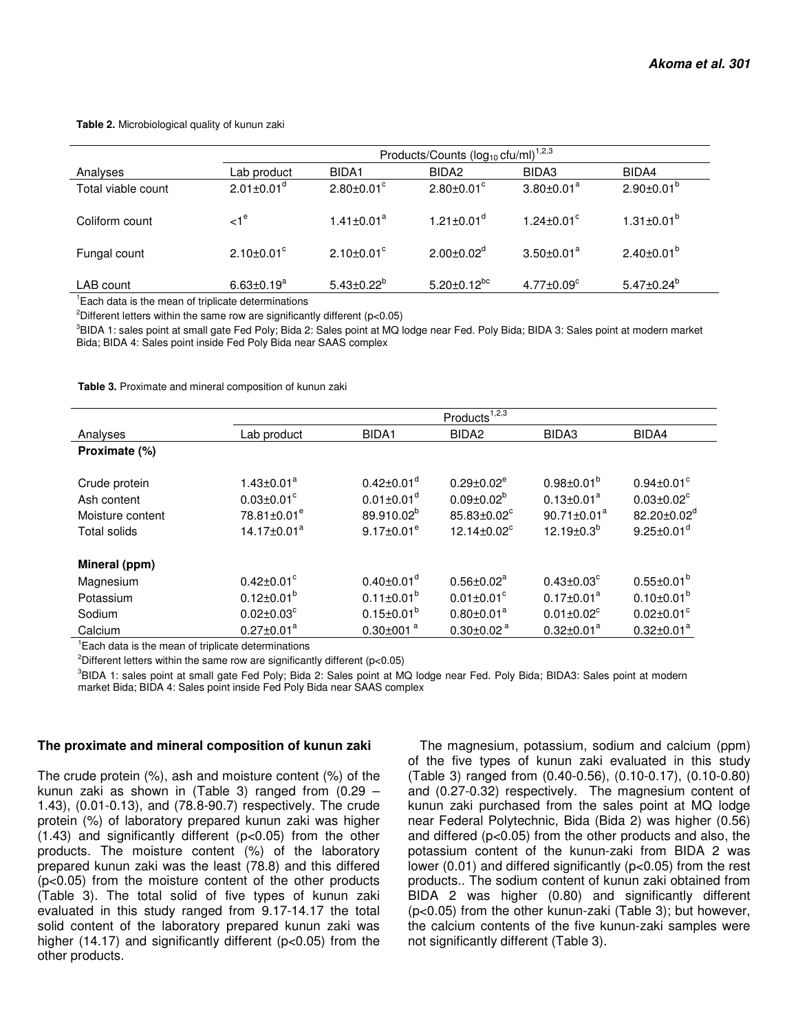#### **Table 2.** Microbiological quality of kunun zaki

|                    | Products/Counts $(log_{10}$ cfu/ml) <sup>1,2,3</sup> |                              |                              |                              |                         |  |
|--------------------|------------------------------------------------------|------------------------------|------------------------------|------------------------------|-------------------------|--|
| Analyses           | Lab product                                          | BIDA1                        | BIDA <sub>2</sub>            | BIDA3                        | BIDA4                   |  |
| Total viable count | $2.01 \pm 0.01$ <sup>d</sup>                         | $2.80 \pm 0.01$ <sup>c</sup> | $2.80 \pm 0.01$ <sup>c</sup> | $3.80 \pm 0.01^a$            | $2.90 \pm 0.01^{b}$     |  |
| Coliform count     | $\leq 1^\circ$                                       | $1.41 \pm 0.01^a$            | $1.21 \pm 0.01$ <sup>a</sup> | $1.24 \pm 0.01$ <sup>c</sup> | $1.31 \pm 0.01^{\circ}$ |  |
| Fungal count       | $2.10\pm0.01^{\circ}$                                | $2.10 \pm 0.01$ <sup>c</sup> | $2.00 \pm 0.02$ <sup>d</sup> | $3.50 \pm 0.01^a$            | $2.40 \pm 0.01^{b}$     |  |
| LAB count          | $6.63 \pm 0.19^a$                                    | $5.43{\pm}0.22^{\text{b}}$   | $5.20 \pm 0.12^{bc}$         | $4.77 \pm 0.09$ <sup>c</sup> | $5.47 \pm 0.24^b$       |  |

<sup>1</sup>Each data is the mean of triplicate determinations

<sup>2</sup>Different letters within the same row are significantly different ( $p$ <0.05)

<sup>3</sup>BIDA 1: sales point at small gate Fed Poly; Bida 2: Sales point at MQ lodge near Fed. Poly Bida; BIDA 3: Sales point at modern market Bida; BIDA 4: Sales point inside Fed Poly Bida near SAAS complex

**Table 3.** Proximate and mineral composition of kunun zaki

|                                                                         | Products <sup>1,2,3</sup>                                                                               |                                                                                                             |                                                                                                  |                                                                                              |                                                                                                                         |
|-------------------------------------------------------------------------|---------------------------------------------------------------------------------------------------------|-------------------------------------------------------------------------------------------------------------|--------------------------------------------------------------------------------------------------|----------------------------------------------------------------------------------------------|-------------------------------------------------------------------------------------------------------------------------|
| Analyses                                                                | Lab product                                                                                             | BIDA1                                                                                                       | BIDA <sub>2</sub>                                                                                | BIDA3                                                                                        | BIDA4                                                                                                                   |
| Proximate (%)                                                           |                                                                                                         |                                                                                                             |                                                                                                  |                                                                                              |                                                                                                                         |
| Crude protein<br>Ash content<br>Moisture content<br><b>Total solids</b> | $1.43 \pm 0.01^a$<br>$0.03 \pm 0.01$ <sup>c</sup><br>78.81±0.01 <sup>e</sup><br>14.17±0.01 <sup>a</sup> | $0.42 \pm 0.01$ <sup>d</sup><br>$0.01 \pm 0.01$ <sup>d</sup><br>89.910.02 <sup>b</sup><br>$9.17 \pm 0.01^e$ | $0.29 \pm 0.02^e$<br>$0.09 \pm 0.02^b$<br>85.83±0.02 <sup>c</sup><br>12.14 $\pm$ 0.02 $^{\circ}$ | $0.98 \pm 0.01^b$<br>$0.13 \pm 0.01^a$<br>$90.71 \pm 0.01^a$<br>12.19 $\pm$ 0.3 <sup>b</sup> | $0.94 \pm 0.01$ <sup>c</sup><br>$0.03 \pm 0.02$ <sup>c</sup><br>82.20±0.02 <sup>d</sup><br>$9.25 \pm 0.01$ <sup>d</sup> |
| Mineral (ppm)                                                           |                                                                                                         |                                                                                                             |                                                                                                  |                                                                                              |                                                                                                                         |
| Magnesium                                                               | $0.42 \pm 0.01$ <sup>c</sup>                                                                            | $0.40 \pm 0.01$ <sup>d</sup>                                                                                | $0.56 \pm 0.02^a$                                                                                | $0.43 \pm 0.03$ <sup>c</sup>                                                                 | $0.55 \pm 0.01^b$                                                                                                       |
| Potassium                                                               | $0.12 \pm 0.01^b$                                                                                       | $0.11 \pm 0.01^b$                                                                                           | $0.01 \pm 0.01$ <sup>c</sup>                                                                     | $0.17 \pm 0.01^a$                                                                            | $0.10 \pm 0.01^{b}$                                                                                                     |
| Sodium                                                                  | $0.02 \pm 0.03$ °                                                                                       | $0.15 \pm 0.01^b$                                                                                           | $0.80 \pm 0.01^a$                                                                                | $0.01 \pm 0.02$ <sup>c</sup>                                                                 | $0.02 \pm 0.01$ °                                                                                                       |
| Calcium                                                                 | $0.27 \pm 0.01^a$                                                                                       | $0.30 \pm 001$ <sup>a</sup>                                                                                 | $0.30 \pm 0.02$ <sup>a</sup>                                                                     | $0.32 \pm 0.01^a$                                                                            | $0.32 \pm 0.01^a$                                                                                                       |

<sup>1</sup> Each data is the mean of triplicate determinations

<sup>2</sup>Different letters within the same row are significantly different ( $p$ <0.05)

<sup>3</sup>BIDA 1: sales point at small gate Fed Poly; Bida 2: Sales point at MQ lodge near Fed. Poly Bida; BIDA3: Sales point at modern market Bida; BIDA 4: Sales point inside Fed Poly Bida near SAAS complex

#### **The proximate and mineral composition of kunun zaki**

The crude protein (%), ash and moisture content (%) of the kunun zaki as shown in (Table 3) ranged from (0.29 – 1.43), (0.01-0.13), and (78.8-90.7) respectively. The crude protein (%) of laboratory prepared kunun zaki was higher (1.43) and significantly different (p<0.05) from the other products. The moisture content (%) of the laboratory prepared kunun zaki was the least (78.8) and this differed (p<0.05) from the moisture content of the other products (Table 3). The total solid of five types of kunun zaki evaluated in this study ranged from 9.17-14.17 the total solid content of the laboratory prepared kunun zaki was higher (14.17) and significantly different (p<0.05) from the other products.

The magnesium, potassium, sodium and calcium (ppm) of the five types of kunun zaki evaluated in this study (Table 3) ranged from (0.40-0.56), (0.10-0.17), (0.10-0.80) and (0.27-0.32) respectively. The magnesium content of kunun zaki purchased from the sales point at MQ lodge near Federal Polytechnic, Bida (Bida 2) was higher (0.56) and differed (p<0.05) from the other products and also, the potassium content of the kunun-zaki from BIDA 2 was lower (0.01) and differed significantly (p<0.05) from the rest products.. The sodium content of kunun zaki obtained from BIDA 2 was higher (0.80) and significantly different (p<0.05) from the other kunun-zaki (Table 3); but however, the calcium contents of the five kunun-zaki samples were not significantly different (Table 3).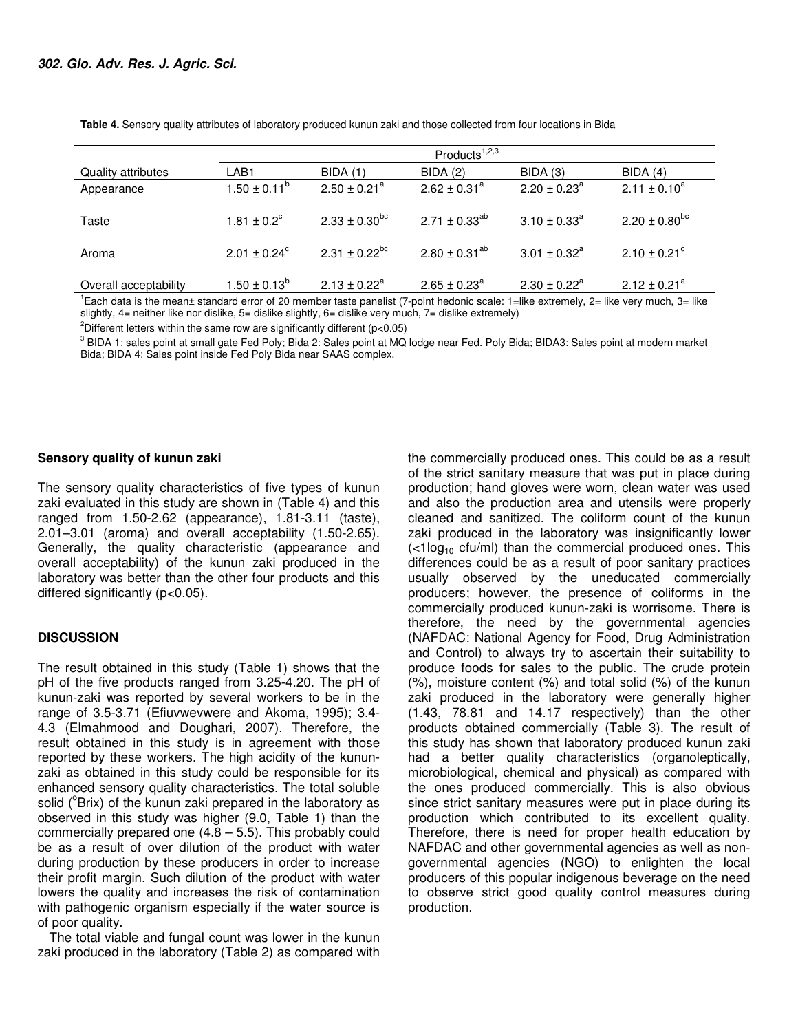|                       | Products $1,2,3$        |                              |                         |                            |                              |
|-----------------------|-------------------------|------------------------------|-------------------------|----------------------------|------------------------------|
| Quality attributes    | LAB <sub>1</sub>        | <b>BIDA</b> (1)              | <b>BIDA (2)</b>         | BIDA(3)                    | BIDA(4)                      |
| Appearance            | $1.50 \pm 0.11^b$       | $2.50 \pm 0.21$ <sup>a</sup> | $2.62 \pm 0.31^a$       | $2.20 \pm 0.23^{\circ}$    | $2.11 \pm 0.10^a$            |
| Taste                 | $1.81 \pm 0.2^c$        | $2.33 \pm 0.30^{bc}$         | $2.71 \pm 0.33^{ab}$    | $3.10 \pm 0.33^{\circ}$    | $2.20 \pm 0.80^{bc}$         |
| Aroma                 | $2.01 \pm 0.24^{\circ}$ | $2.31 \pm 0.22^{bc}$         | $2.80 \pm 0.31^{ab}$    | $3.01 \pm 0.32^{\circ}$    | $2.10 \pm 0.21$ <sup>c</sup> |
| Overall acceptability | $1.50 \pm 0.13^{\circ}$ | $2.13 \pm 0.22^a$            | $2.65 \pm 0.23^{\circ}$ | $2.30 \pm 0.22^{\text{a}}$ | $2.12 \pm 0.21$ <sup>a</sup> |

**Table 4.** Sensory quality attributes of laboratory produced kunun zaki and those collected from four locations in Bida

<sup>1</sup>Each data is the mean± standard error of 20 member taste panelist (7-point hedonic scale: 1=like extremely, 2= like very much, 3= like slightly, 4= neither like nor dislike, 5= dislike slightly, 6= dislike very much, 7= dislike extremely)

<sup>2</sup>Different letters within the same row are significantly different ( $p<0.05$ )

 $^3$  BIDA 1: sales point at small gate Fed Poly; Bida 2: Sales point at MQ lodge near Fed. Poly Bida; BIDA3: Sales point at modern market Bida; BIDA 4: Sales point inside Fed Poly Bida near SAAS complex.

#### **Sensory quality of kunun zaki**

The sensory quality characteristics of five types of kunun zaki evaluated in this study are shown in (Table 4) and this ranged from 1.50-2.62 (appearance), 1.81-3.11 (taste), 2.01–3.01 (aroma) and overall acceptability (1.50-2.65). Generally, the quality characteristic (appearance and overall acceptability) of the kunun zaki produced in the laboratory was better than the other four products and this differed significantly (p<0.05).

## **DISCUSSION**

The result obtained in this study (Table 1) shows that the pH of the five products ranged from 3.25-4.20. The pH of kunun-zaki was reported by several workers to be in the range of 3.5-3.71 (Efiuvwevwere and Akoma, 1995); 3.4- 4.3 (Elmahmood and Doughari, 2007). Therefore, the result obtained in this study is in agreement with those reported by these workers. The high acidity of the kununzaki as obtained in this study could be responsible for its enhanced sensory quality characteristics. The total soluble solid ( $\textdegree$ Brix) of the kunun zaki prepared in the laboratory as observed in this study was higher (9.0, Table 1) than the commercially prepared one  $(4.8 - 5.5)$ . This probably could be as a result of over dilution of the product with water during production by these producers in order to increase their profit margin. Such dilution of the product with water lowers the quality and increases the risk of contamination with pathogenic organism especially if the water source is of poor quality.

The total viable and fungal count was lower in the kunun zaki produced in the laboratory (Table 2) as compared with

the commercially produced ones. This could be as a result of the strict sanitary measure that was put in place during production; hand gloves were worn, clean water was used and also the production area and utensils were properly cleaned and sanitized. The coliform count of the kunun zaki produced in the laboratory was insignificantly lower  $\left($ <1log<sub>10</sub> cfu/ml) than the commercial produced ones. This differences could be as a result of poor sanitary practices usually observed by the uneducated commercially producers; however, the presence of coliforms in the commercially produced kunun-zaki is worrisome. There is therefore, the need by the governmental agencies (NAFDAC: National Agency for Food, Drug Administration and Control) to always try to ascertain their suitability to produce foods for sales to the public. The crude protein (%), moisture content (%) and total solid (%) of the kunun zaki produced in the laboratory were generally higher (1.43, 78.81 and 14.17 respectively) than the other products obtained commercially (Table 3). The result of this study has shown that laboratory produced kunun zaki had a better quality characteristics (organoleptically, microbiological, chemical and physical) as compared with the ones produced commercially. This is also obvious since strict sanitary measures were put in place during its production which contributed to its excellent quality. Therefore, there is need for proper health education by NAFDAC and other governmental agencies as well as nongovernmental agencies (NGO) to enlighten the local producers of this popular indigenous beverage on the need to observe strict good quality control measures during production.